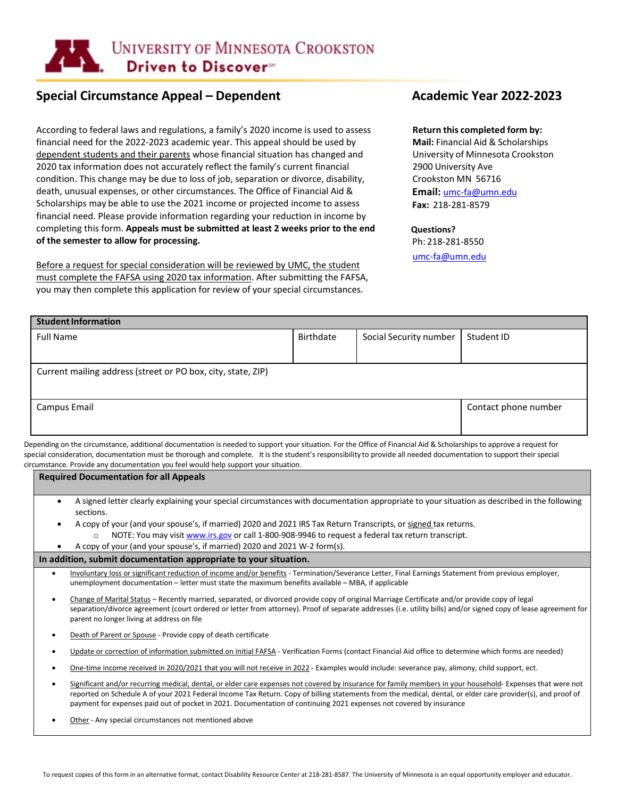

# **Special Circumstance Appeal – Dependent Academic Year 2022-2023**

According to federal laws and regulations, a family's 2020 income is used to assess financial need for the 2022-2023 academic year. This appeal should be used by dependent students and their parents whose financial situation has changed and 2020 tax information does not accurately reflect the family's current financial condition. This change may be due to loss of job, separation or divorce, disability, death, unusual expenses, or other circumstances. The Office of Financial Aid & Scholarships may be able to use the 2021 income or projected income to assess financial need. Please provide information regarding your reduction in income by completing this form. **Appeals must be submitted at least 2 weeks prior to the end of the semester to allow for processing.**

Before a request for special consideration will be reviewed by UMC, the student must complete the FAFSA using 2020 tax information. After submitting the FAFSA, you may then complete this application for review of your special circumstances.

#### **Return this completed form by:**

**Mail:** Financial Aid & Scholarships University of Minnesota Crookston 2900 University Ave Crookston MN 56716 **Email:** [umc-fa@umn.edu](mailto:umc-fa@umn.edu) **Fax:** 218-281-8579

### **Questions?**

Ph: 218-281-8550

[umc-fa@umn.edu](mailto:umc-fa@umn.edu)

| <b>Student Information</b> |                        |                      |  |  |  |  |
|----------------------------|------------------------|----------------------|--|--|--|--|
| Birthdate                  | Social Security number | Student ID           |  |  |  |  |
|                            |                        |                      |  |  |  |  |
|                            |                        |                      |  |  |  |  |
|                            |                        |                      |  |  |  |  |
|                            |                        | Contact phone number |  |  |  |  |
|                            |                        |                      |  |  |  |  |
|                            |                        |                      |  |  |  |  |

Depending on the circumstance, additional documentation is needed to support your situation. For the Office of Financial Aid & Scholarships to approve a request for special consideration, documentation must be thorough and complete. It is the student's responsibility to provide all needed documentation to support their special circumstance. Provide any documentation you feel would help support your situation.

**Required Documentation for all Appeals**

- A signed letter clearly explaining your special circumstances with documentation appropriate to your situation as described in the following sections.
- A copy of your (and your spouse's, if married) 2020 and 2021 IRS Tax Return Transcripts, or signed tax returns.
	- o NOTE: You may visi[t www.irs.gov](http://www.irs.gov/) or call 1-800-908-9946 to request a federal tax return transcript.
	- A copy of your (and your spouse's, if married) 2020 and 2021 W-2 form(s).

#### **In addition, submit documentation appropriate to your situation.**

- Involuntary loss or significant reduction of income and/or benefits Termination/Severance Letter, Final Earnings Statement from previous employer, unemployment documentation – letter must state the maximum benefits available – MBA, if applicable
- Change of Marital Status Recently married, separated, or divorced provide copy of original Marriage Certificate and/or provide copy of legal separation/divorce agreement (court ordered or letter from attorney). Proof of separate addresses (i.e. utility bills) and/or signed copy of lease agreement for parent no longer living at address on file
- Death of Parent or Spouse Provide copy of death certificate
- Update or correction of information submitted on initial FAFSA Verification Forms (contact Financial Aid office to determine which forms are needed)
- One-time income received in 2020/2021 that you will not receive in 2022 Examples would include: severance pay, alimony, child support, ect.
- Significant and/or recurring medical, dental, or elder care expenses not covered by insurance for family members in your household- Expenses that were not reported on Schedule A of your 2021 Federal Income Tax Return. Copy of billing statements from the medical, dental, or elder care provider(s), and proof of payment for expenses paid out of pocket in 2021. Documentation of continuing 2021 expenses not covered by insurance
- Other Any special circumstances not mentioned above